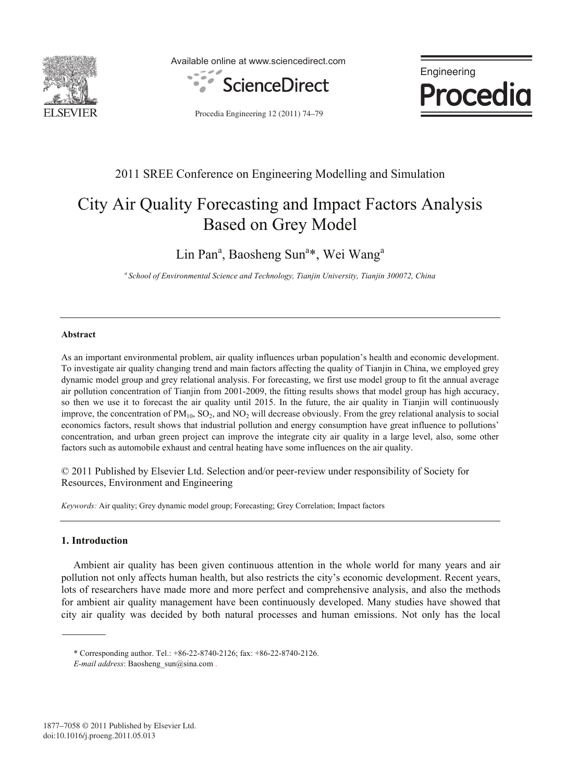

Available online at www.sciencedirect.com





Procedia Engineering 12 (2011) 74–79

# 2011 SREE Conference on Engineering Modelling and Simulation

# City Air Quality Forecasting and Impact Factors Analysis Based on Grey Model

Lin Pan<sup>a</sup>, Baosheng Sun<sup>a\*</sup>, Wei Wang<sup>a</sup>

*a School of Environmental Science and Technology, Tianjin University, Tianjin 300072, China* 

### **Abstract**

As an important environmental problem, air quality influences urban population's health and economic development. To investigate air quality changing trend and main factors affecting the quality of Tianjin in China, we employed grey dynamic model group and grey relational analysis. For forecasting, we first use model group to fit the annual average air pollution concentration of Tianjin from 2001-2009, the fitting results shows that model group has high accuracy, so then we use it to forecast the air quality until 2015. In the future, the air quality in Tianjin will continuously improve, the concentration of  $PM_{10}$ ,  $SO_2$ , and  $NO_2$  will decrease obviously. From the grey relational analysis to social economics factors, result shows that industrial pollution and energy consumption have great influence to pollutions' concentration, and urban green project can improve the integrate city air quality in a large level, also, some other factors such as automobile exhaust and central heating have some influences on the air quality.

© 2011 Published by Elsevier Ltd. Selection and/or peer-review under responsibility of Society for Resources, Environment and Engineering

*Keywords:* Air quality; Grey dynamic model group; Forecasting; Grey Correlation; Impact factors

## **1. Introduction**

Ambient air quality has been given continuous attention in the whole world for many years and air pollution not only affects human health, but also restricts the city's economic development. Recent years, lots of researchers have made more and more perfect and comprehensive analysis, and also the methods for ambient air quality management have been continuously developed. Many studies have showed that city air quality was decided by both natural processes and human emissions. Not only has the local

<sup>\*</sup> Corresponding author. Tel.: +86-22-8740-2126; fax: +86-22-8740-2126.

*E-mail address*: Baosheng\_sun@sina.com .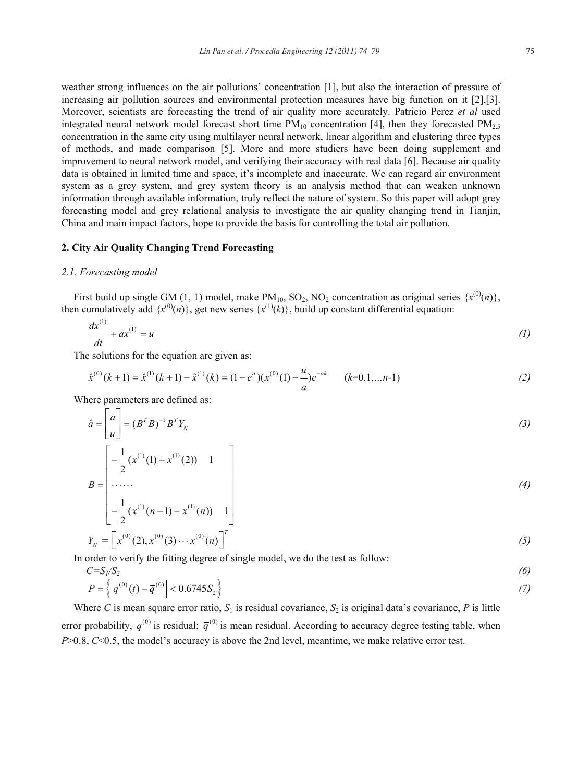weather strong influences on the air pollutions' concentration [1], but also the interaction of pressure of increasing air pollution sources and environmental protection measures have big function on it [2],[3]. Moreover, scientists are forecasting the trend of air quality more accurately. Patricio Perez *et al* used integrated neural network model forecast short time  $PM_{10}$  concentration [4], then they forecasted  $PM_{2.5}$ concentration in the same city using multilayer neural network, linear algorithm and clustering three types of methods, and made comparison [5]. More and more studiers have been doing supplement and improvement to neural network model, and verifying their accuracy with real data [6]. Because air quality data is obtained in limited time and space, it's incomplete and inaccurate. We can regard air environment system as a grey system, and grey system theory is an analysis method that can weaken unknown information through available information, truly reflect the nature of system. So this paper will adopt grey forecasting model and grey relational analysis to investigate the air quality changing trend in Tianjin, China and main impact factors, hope to provide the basis for controlling the total air pollution.

### **2. City Air Quality Changing Trend Forecasting**

#### *2.1. Forecasting model*

First build up single GM (1, 1) model, make  $PM_{10}$ , SO<sub>2</sub>, NO<sub>2</sub> concentration as original series  $\{x^{(0)}(n)\},$ then cumulatively add  $\{x^{(0)}(n)\}$ , get new series  $\{x^{(1)}(k)\}$ , build up constant differential equation:

$$
\frac{dx^{(1)}}{dt} + ax^{(1)} = u \tag{1}
$$

The solutions for the equation are given as:

$$
\hat{x}^{(0)}(k+1) = \hat{x}^{(1)}(k+1) - \hat{x}^{(1)}(k) = (1 - e^a)(x^{(0)}(1) - \frac{u}{a})e^{-ak} \qquad (k=0,1,...n-1)
$$
\n(2)

Where parameters are defined as:

$$
\hat{a} = \begin{bmatrix} a \\ u \end{bmatrix} = (B^T B)^{-1} B^T Y_N
$$
\n(3)

$$
B = \begin{bmatrix} -\frac{1}{2}(x^{(1)}(1) + x^{(1)}(2)) & 1 \\ \dots \\ \dots \\ -\frac{1}{2}(x^{(1)}(n-1) + x^{(1)}(n)) & 1 \end{bmatrix}
$$
(4)

$$
\begin{bmatrix} 2^{(1)} & (1, 1) & (1, 1) \\ 2^{(0)} & (2), x^{(0)}(3) & (1, 1) \end{bmatrix}^T
$$
 (5)

In order to verify the fitting degree of single model, we do the test as follow:<br> $C = S / S$ 

$$
C = S_1/S_2
$$
  
\n
$$
P = \left\{ \left| q^{(0)}(t) - \overline{q}^{(0)} \right| < 0.6745 S_2 \right\} \tag{7}
$$

Where *C* is mean square error ratio,  $S_1$  is residual covariance,  $S_2$  is original data's covariance, *P* is little error probability,  $q^{(0)}$  is residual;  $\bar{q}^{(0)}$  is mean residual. According to accuracy degree testing table, when *P*>0.8, *C*<0.5, the model's accuracy is above the 2nd level, meantime, we make relative error test.